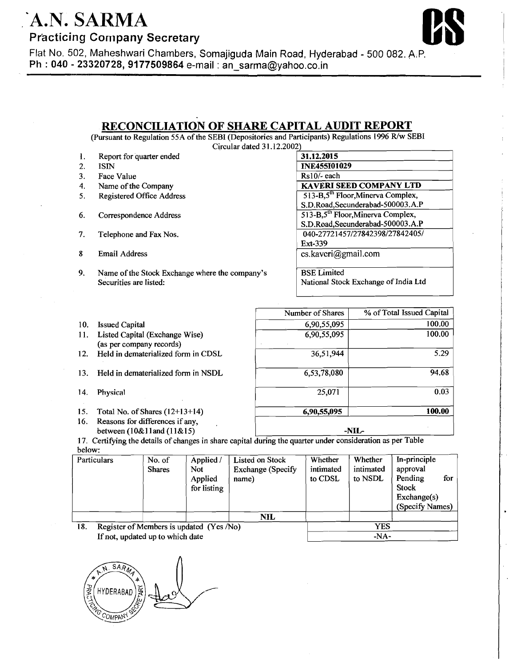## A.N. SARMA

**Practicing Company Secretary** 



5.29

 $100.00$  $100.00$ 

94.68

 $0.03$ 

Flat No. 502, Maheshwari Chambers, Somajiguda Main Road, Hyderabad - 500 082. A.P. I **Ph** : **040** - **23320728,9177509864** e-mail : an-sarma@yahoo.co.in I

## **RECONCILIATION OF' SHARE CAPITAL AUDIT REPORT**

(Pursuant to Regulation 55A of the SEBI (Depositories and Participants) Regulations 1996 R/w SEBI Circular dated 3 1.12.2002)

|     | 1. Report for quarter ended                                                                                                                                                                                                                                                                                                        |
|-----|------------------------------------------------------------------------------------------------------------------------------------------------------------------------------------------------------------------------------------------------------------------------------------------------------------------------------------|
| -2. | ISTN.                                                                                                                                                                                                                                                                                                                              |
| 3.  | <b>Face Value</b>                                                                                                                                                                                                                                                                                                                  |
| 4.  | Name of the Company                                                                                                                                                                                                                                                                                                                |
|     | $\mathbf{R}$ $\mathbf{R}$ $\mathbf{R}$ $\mathbf{R}$ $\mathbf{R}$ $\mathbf{R}$ $\mathbf{R}$ $\mathbf{R}$ $\mathbf{R}$ $\mathbf{R}$ $\mathbf{R}$ $\mathbf{R}$ $\mathbf{R}$ $\mathbf{R}$ $\mathbf{R}$ $\mathbf{R}$ $\mathbf{R}$ $\mathbf{R}$ $\mathbf{R}$ $\mathbf{R}$ $\mathbf{R}$ $\mathbf{R}$ $\mathbf{R}$ $\mathbf{R}$ $\mathbf{$ |

- 5. Registered Office Address
- 6. Correspondence Address
- 7. Telephone and Fax Nos.
- 8 Email Address
- 9. Name of the Stock Exchange where the company's Securities are listed:

| 31.12.2015                                     |  |
|------------------------------------------------|--|
| <b>INE455I01029</b>                            |  |
| $Rs10/-$ each                                  |  |
| <b>KAVERI SEED COMPANY LTD</b>                 |  |
| 513-B,5 <sup>th</sup> Floor, Minerva Complex,  |  |
| S.D.Road, Secunderabad-500003.A.P              |  |
| 513-B, 5 <sup>th</sup> Floor, Minerva Complex, |  |
| S.D.Road, Secunderabad-500003.A.P              |  |
| 040-27721457/27842398/27842405/                |  |
| Ext-339                                        |  |
| cs.kaveri@gmail.com                            |  |
|                                                |  |
|                                                |  |

Number of Shares | % of Total Issued Capital

**6,9455,095** 1 **100.00** 

36,5 1,944

 $6,90,55,095$ 

6,90,55,095

6,53,78,080

 $25,071$ 

I

I

**-NLG** 

**BSE** Limited National Stock Exchange of India Ltd

- 10. Issued Capital
- 11. Listed Capital (Exchange Wise) (as per company records)
- 12. Held in dematerialized form in CDSL
- 13. Held in dematerialized form in NSDL
- 14. Physical
- 15. Total No. of Shares (12+13+14)
- 16. Reasons for differences if any, between (lO&l land (1 1&15)

below: 17. Certifying the details of changes in share capital during the quarter under consideration **as** per Table

-

|                                                 | Particulars | No. of<br><b>Shares</b> | Applied /<br><b>Not</b><br>Applied<br>for listing | Listed on Stock<br><b>Exchange (Specify</b><br>name) | Whether<br>intimated<br>to CDSL | Whether<br>intimated<br>to NSDL | In-principle<br>approval<br>Pending<br>for<br><b>Stock</b><br>Exchange(s)<br>(Specify Names) |
|-------------------------------------------------|-------------|-------------------------|---------------------------------------------------|------------------------------------------------------|---------------------------------|---------------------------------|----------------------------------------------------------------------------------------------|
|                                                 |             |                         |                                                   | NIL                                                  |                                 |                                 |                                                                                              |
| Register of Members is updated (Yes /No)<br>18. |             |                         |                                                   | <b>YES</b>                                           |                                 |                                 |                                                                                              |
| If not, updated up to which date                |             |                         |                                                   | $-NA-$                                               |                                 |                                 |                                                                                              |

**HYDERABA** OMPAN